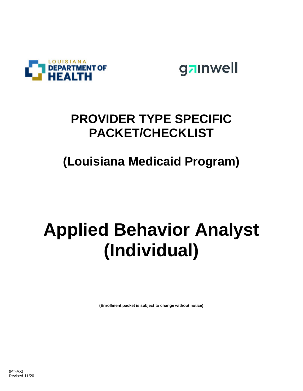



## **PROVIDER TYPE SPECIFIC PACKET/CHECKLIST**

## **(Louisiana Medicaid Program)**

## **Applied Behavior Analyst (Individual)**

**(Enrollment packet is subject to change without notice)**